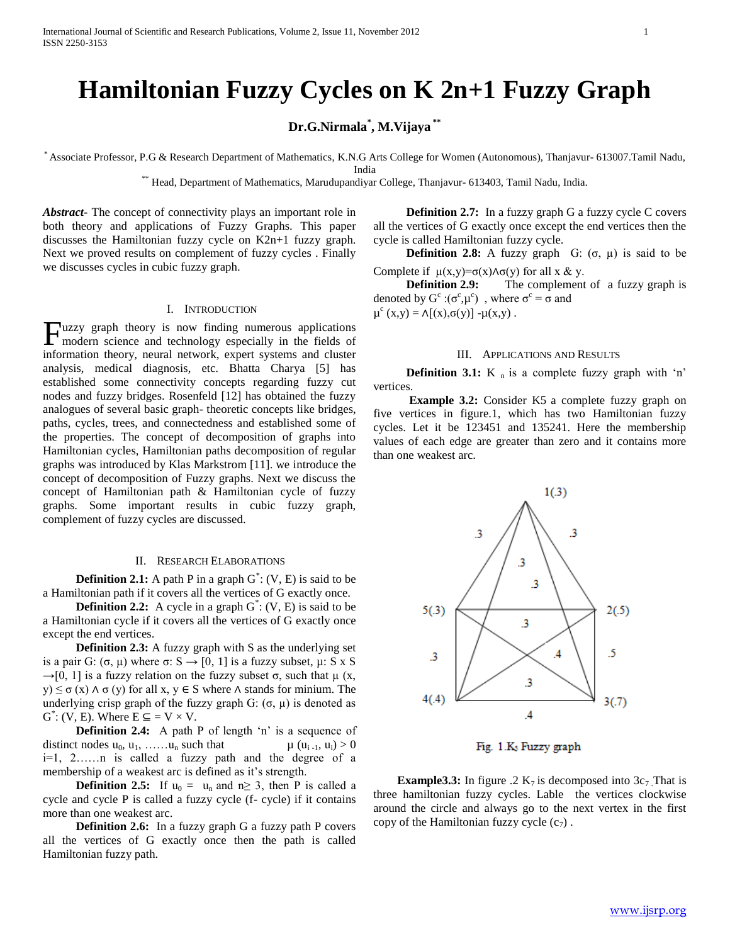# **Hamiltonian Fuzzy Cycles on K 2n+1 Fuzzy Graph**

**Dr.G.Nirmala\* , M.Vijaya \*\***

\* Associate Professor, P.G & Research Department of Mathematics, K.N.G Arts College for Women (Autonomous), Thanjavur- 613007.Tamil Nadu, India

\*\* Head, Department of Mathematics, Marudupandiyar College, Thanjavur- 613403, Tamil Nadu, India.

*Abstract***-** The concept of connectivity plays an important role in both theory and applications of Fuzzy Graphs. This paper discusses the Hamiltonian fuzzy cycle on K2n+1 fuzzy graph. Next we proved results on complement of fuzzy cycles . Finally we discusses cycles in cubic fuzzy graph.

## I. INTRODUCTION

Tuzzy graph theory is now finding numerous applications **Fuzzy** graph theory is now finding numerous applications modern science and technology especially in the fields of information theory, neural network, expert systems and cluster analysis, medical diagnosis, etc. Bhatta Charya [5] has established some connectivity concepts regarding fuzzy cut nodes and fuzzy bridges. Rosenfeld [12] has obtained the fuzzy analogues of several basic graph- theoretic concepts like bridges, paths, cycles, trees, and connectedness and established some of the properties. The concept of decomposition of graphs into Hamiltonian cycles, Hamiltonian paths decomposition of regular graphs was introduced by Klas Markstrom [11]. we introduce the concept of decomposition of Fuzzy graphs. Next we discuss the concept of Hamiltonian path & Hamiltonian cycle of fuzzy graphs. Some important results in cubic fuzzy graph, complement of fuzzy cycles are discussed.

#### II. RESEARCH ELABORATIONS

**Definition 2.1:** A path P in a graph  $G^*$ :  $(V, E)$  is said to be a Hamiltonian path if it covers all the vertices of G exactly once.

**Definition 2.2:** A cycle in a graph  $G^*$ :  $(V, E)$  is said to be a Hamiltonian cycle if it covers all the vertices of G exactly once except the end vertices.

**Definition 2.3:** A fuzzy graph with S as the underlying set is a pair G: (σ, μ) where σ:  $S \rightarrow [0, 1]$  is a fuzzy subset, μ: S x S  $\rightarrow$ [0, 1] is a fuzzy relation on the fuzzy subset  $\sigma$ , such that  $\mu$  (x, y)  $\leq \sigma(x) \wedge \sigma(y)$  for all x, y  $\in$  S where  $\wedge$  stands for minium. The underlying crisp graph of the fuzzy graph G:  $(\sigma, \mu)$  is denoted as  $G^*$ : (V, E). Where  $E \subseteq V \times V$ .

**Definition 2.4:** A path P of length 'n' is a sequence of distinct nodes  $u_0, u_1, \ldots, u_n$  such that  $\mu(u_{i-1}, u_i) > 0$ i=1, 2……n is called a fuzzy path and the degree of a membership of a weakest arc is defined as it's strength.

**Definition 2.5:** If  $u_0 = u_n$  and  $n \ge 3$ , then P is called a cycle and cycle P is called a fuzzy cycle (f- cycle) if it contains more than one weakest arc.

 **Definition 2.6:** In a fuzzy graph G a fuzzy path P covers all the vertices of G exactly once then the path is called Hamiltonian fuzzy path.

**Definition 2.7:** In a fuzzy graph G a fuzzy cycle C covers all the vertices of G exactly once except the end vertices then the cycle is called Hamiltonian fuzzy cycle.

**Definition 2.8:** A fuzzy graph G:  $(\sigma, \mu)$  is said to be Complete if  $\mu(x,y)=\sigma(x)\wedge \sigma(y)$  for all x & y.

**Definition 2.9:** The complement of a fuzzy graph is denoted by  $G^c$ : $(\sigma^c, \mu^c)$ , where  $\sigma^c = \sigma$  and  $\mu^{c}(x,y) = \Lambda[(x),\sigma(y)] - \mu(x,y)$ .

#### III. APPLICATIONS AND RESULTS

**Definition 3.1:** K  $_{n}$  is a complete fuzzy graph with 'n' vertices.

**Example 3.2:** Consider K5 a complete fuzzy graph on five vertices in figure.1, which has two Hamiltonian fuzzy cycles. Let it be 123451 and 135241. Here the membership values of each edge are greater than zero and it contains more than one weakest arc.



Fig. 1.K<sub>3</sub> Fuzzy graph

**Example3.3:** In figure .2  $K_7$  is decomposed into  $3c_7$ . That is three hamiltonian fuzzy cycles. Lable the vertices clockwise around the circle and always go to the next vertex in the first copy of the Hamiltonian fuzzy cycle  $(c_7)$ .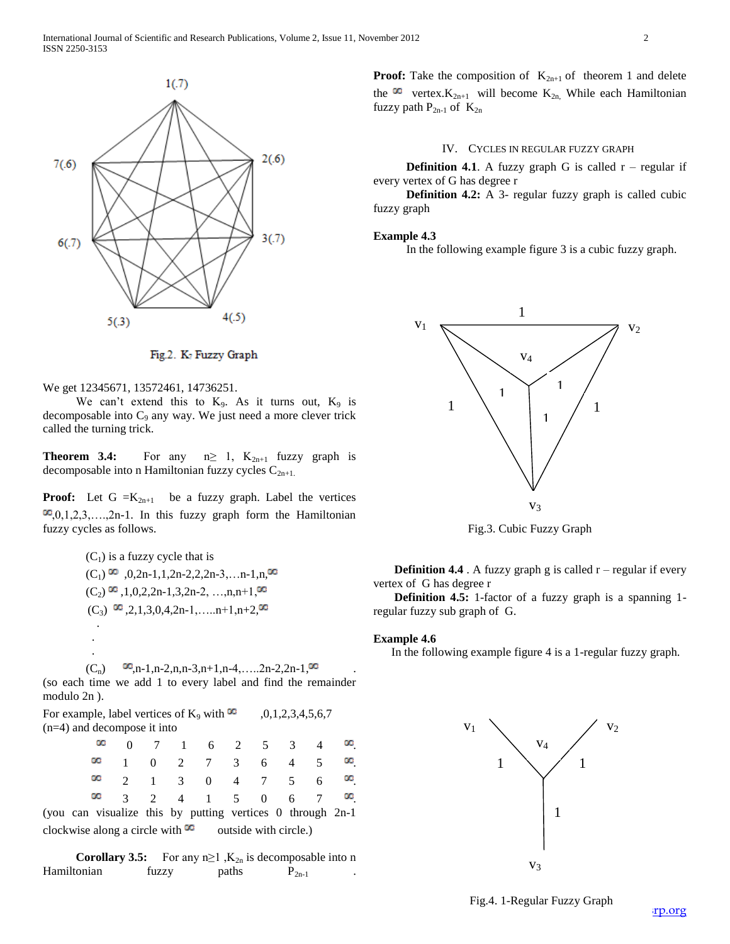

Fig.2. K<sub>7</sub> Fuzzy Graph

We get 12345671, 13572461, 14736251.

We can't extend this to  $K_9$ . As it turns out,  $K_9$  is decomposable into  $C_9$  any way. We just need a more clever trick called the turning trick.

**Theorem 3.4:** For any  $n \geq 1$ ,  $K_{2n+1}$  fuzzy graph is decomposable into n Hamiltonian fuzzy cycles  $C_{2n+1}$ .

**Proof:** Let  $G = K_{2n+1}$  be a fuzzy graph. Label the vertices  $\infty, 0, 1, 2, 3, \ldots, 2n-1$ . In this fuzzy graph form the Hamiltonian fuzzy cycles as follows.

 $(C_1)$  is a fuzzy cycle that is  $(C_1)$   $\infty$  , 0,2n-1,1,2n-2,2,2n-3,...n-1,n, $\infty$  $(C_2)$   $\infty$ , 1, 0, 2, 2n-1, 3, 2n-2, …, n, n+1, $\infty$  $(C_3)$   $\infty$ ,2,1,3,0,4,2n-1,.....n+1,n+2, $\infty$  . . .  $(C_n)$   $\infty, n-1, n-2, n, n-3, n+1, n-4, \ldots, 2n-2, 2n-1, \infty$ 

(so each time we add 1 to every label and find the remainder modulo 2n ).

For example, label vertices of K<sub>9</sub> with  $\infty$  ,0,1,2,3,4,5,6,7 (n=4) and decompose it into

|  |  | . |  |  |  |
|--|--|---|--|--|--|

(you can visualize this by putting vertices 0 through 2n-1 clockwise along a circle with  $\infty$  outside with circle.)

**Corollary 3.5:** For any  $n \ge 1$ ,  $K_{2n}$  is decomposable into n Hamiltonian fuzzy paths  $P_{2n-1}$ 

**Proof:** Take the composition of  $K_{2n+1}$  of theorem 1 and delete the  $\infty$  vertex.  $K_{2n+1}$  will become  $K_{2n}$ . While each Hamiltonian fuzzy path  $P_{2n-1}$  of  $K_{2n}$ 

### IV. CYCLES IN REGULAR FUZZY GRAPH

**Definition 4.1.** A fuzzy graph G is called  $r -$  regular if every vertex of G has degree r

 **Definition 4.2:** A 3- regular fuzzy graph is called cubic fuzzy graph

#### **Example 4.3**

In the following example figure 3 is a cubic fuzzy graph.



Fig.3. Cubic Fuzzy Graph

**Definition 4.4** . A fuzzy graph g is called  $r$  – regular if every vertex of G has degree r

**Definition 4.5:** 1-factor of a fuzzy graph is a spanning 1regular fuzzy sub graph of G.

#### **Example 4.6**

In the following example figure 4 is a 1-regular fuzzy graph.

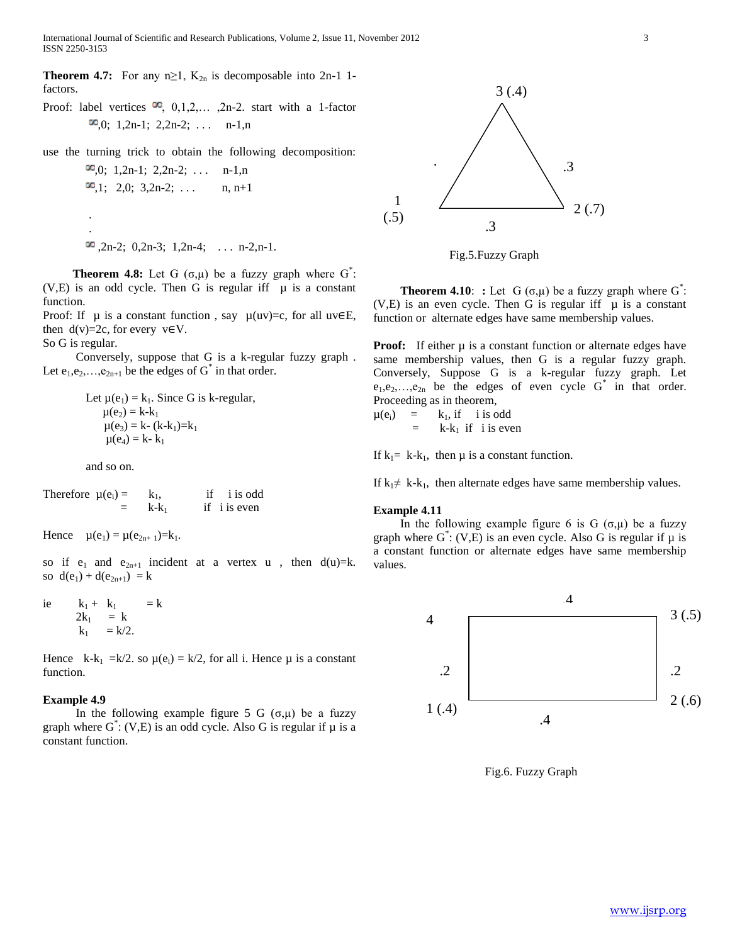International Journal of Scientific and Research Publications, Volume 2, Issue 11, November 2012 3 ISSN 2250-3153

**Theorem 4.7:** For any  $n \ge 1$ ,  $K_{2n}$  is decomposable into 2n-1 1factors.

Proof: label vertices  $\infty$ , 0,1,2,..., 2n-2. start with a 1-factor  $\infty, 0; 1, 2n-1; 2, 2n-2; \ldots$  n-1,n

use the turning trick to obtain the following decomposition:

 $\infty, 0; 1, 2n-1; 2, 2n-2; \ldots$  n-1,n  $\infty$ ,1; 2,0; 3,2n-2; ... n, n+1 .

 $\infty$ , 2n-2; 0, 2n-3; 1, 2n-4; ... n-2, n-1.

**Theorem 4.8:** Let G  $(\sigma,\mu)$  be a fuzzy graph where G<sup>\*</sup>:  $(V,E)$  is an odd cycle. Then G is regular iff  $\mu$  is a constant function.

Proof: If  $\mu$  is a constant function, say  $\mu(uv)=c$ , for all uv∈E, then  $d(v)=2c$ , for every  $v \in V$ .

So G is regular.

.

 Conversely, suppose that G is a k-regular fuzzy graph . Let  $e_1, e_2, \ldots, e_{2n+1}$  be the edges of  $G^*$  in that order.

> Let  $\mu(e_1) = k_1$ . Since G is k-regular,  $\mu(e_2) = k - k_1$  $\mu(e_3) = k - (k - k_1) = k_1$  $\mu(e_4) = k - k_1$

and so on.

Therefore 
$$
\mu(e_i) = k_1
$$
, if i is odd  
=  $k-k_1$  if i is even

Hence  $\mu(e_1) = \mu(e_{2n+1}) = k_1$ .

so if  $e_1$  and  $e_{2n+1}$  incident at a vertex u, then  $d(u)=k$ . so  $d(e_1) + d(e_{2n+1}) = k$ 

i.e 
$$
k_1 + k_1 = k
$$
  
\n $2k_1 = k$   
\n $k_1 = k/2$ .

Hence k-k<sub>1</sub> =k/2. so  $\mu(e_i) = k/2$ , for all i. Hence  $\mu$  is a constant function.

#### **Example 4.9**

In the following example figure 5 G  $(σ, μ)$  be a fuzzy graph where  $G^*$ : (V,E) is an odd cycle. Also G is regular if  $\mu$  is a constant function.



Fig.5.Fuzzy Graph

**Theorem 4.10: :** Let G  $(\sigma, \mu)$  be a fuzzy graph where G<sup>\*</sup>:  $(V,E)$  is an even cycle. Then G is regular iff  $\mu$  is a constant function or alternate edges have same membership values.

**Proof:** If either  $\mu$  is a constant function or alternate edges have same membership values, then G is a regular fuzzy graph. Conversely, Suppose G is a k-regular fuzzy graph. Let  $e_1, e_2, \ldots, e_{2n}$  be the edges of even cycle  $G^*$  in that order. Proceeding as in theorem,

$$
\mu(e_i) = k_1, \text{ if } i \text{ is odd} \\ = k - k_1 \text{ if } i \text{ is even}
$$

If  $k_1$ = k-k<sub>1</sub>, then  $\mu$  is a constant function.

If  $k_1 \neq k-k_1$ , then alternate edges have same membership values.

## **Example 4.11**

In the following example figure 6 is G  $(\sigma,\mu)$  be a fuzzy graph where  $G^*$ : (V,E) is an even cycle. Also G is regular if  $\mu$  is a constant function or alternate edges have same membership values.



Fig.6. Fuzzy Graph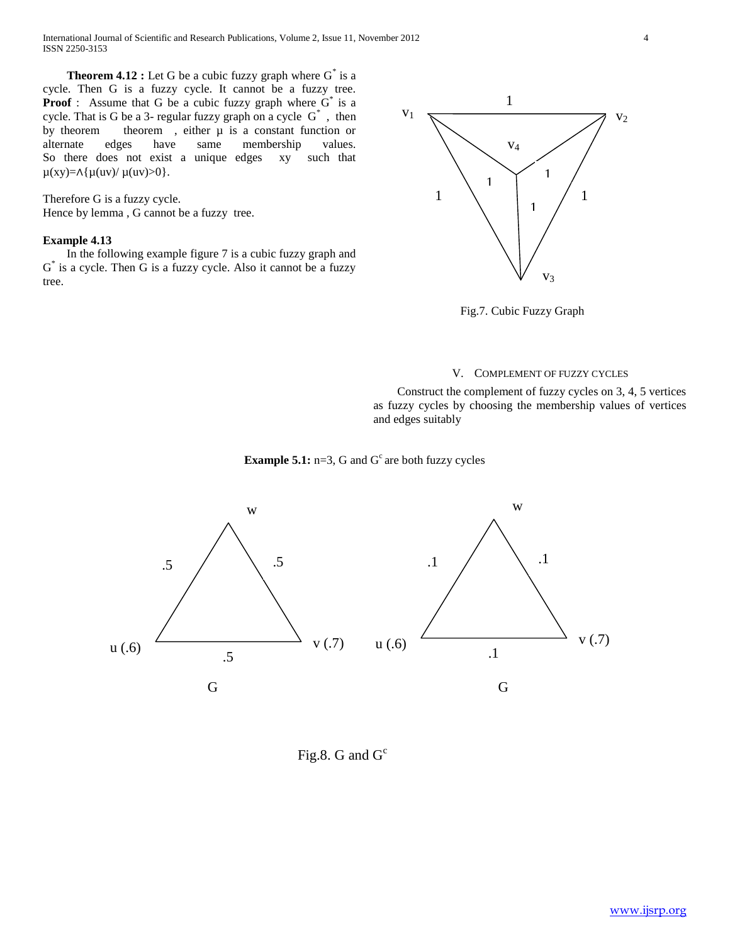**Theorem 4.12 :** Let G be a cubic fuzzy graph where  $G^*$  is a cycle. Then G is a fuzzy cycle. It cannot be a fuzzy tree. **Proof**: Assume that G be a cubic fuzzy graph where  $G^*$  is a cycle. That is G be a 3- regular fuzzy graph on a cycle  $G^*$ , then by theorem theorem , either  $\mu$  is a constant function or alternate edges have same membership values. So there does not exist a unique edges xy such that  $\mu(xy)=\Lambda\{\mu(uv)/\mu(uv)>0\}.$ 

Therefore G is a fuzzy cycle. Hence by lemma , G cannot be a fuzzy tree.

# **Example 4.13**

 In the following example figure 7 is a cubic fuzzy graph and G<sup>\*</sup> is a cycle. Then G is a fuzzy cycle. Also it cannot be a fuzzy tree.



Fig.7. Cubic Fuzzy Graph

#### V. COMPLEMENT OF FUZZY CYCLES

 Construct the complement of fuzzy cycles on 3, 4, 5 vertices as fuzzy cycles by choosing the membership values of vertices and edges suitably





Fig.8. G and  $G<sup>c</sup>$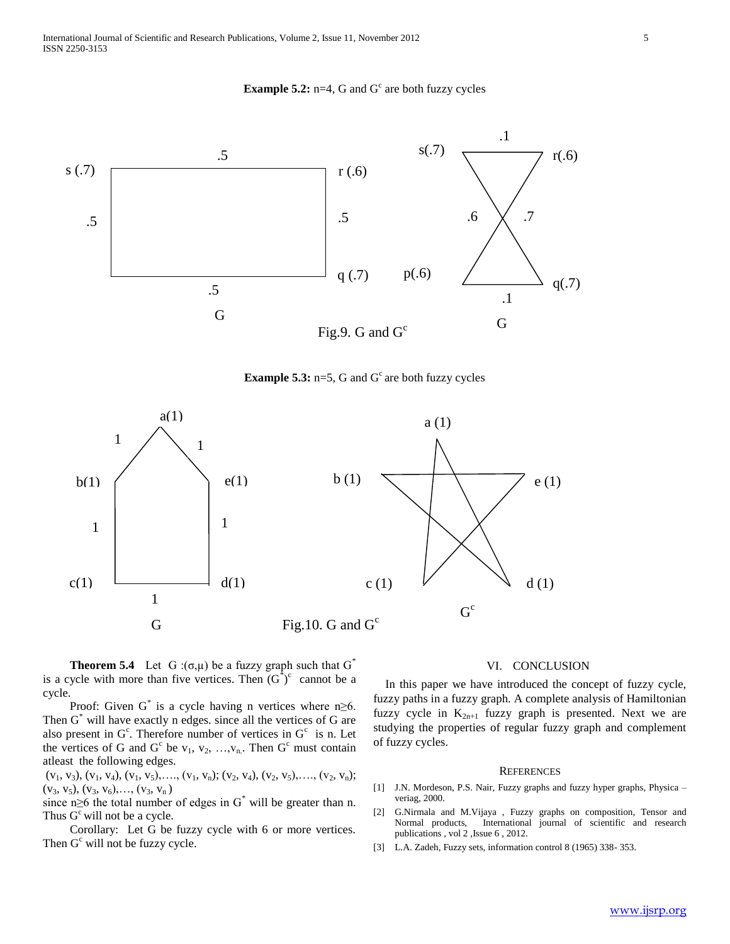**Example 5.2:**  $n=4$ , G and G<sup>c</sup> are both fuzzy cycles







**Theorem 5.4** Let G : $(\sigma, \mu)$  be a fuzzy graph such that G<sup>\*</sup> is a cycle with more than five vertices. Then  $(G^{\dagger})^c$  cannot be a cycle.

Proof: Given  $G^*$  is a cycle having n vertices where  $n \ge 6$ . Then  $G^*$  will have exactly n edges. since all the vertices of  $G$  are also present in  $G^c$ . Therefore number of vertices in  $G^c$  is n. Let the vertices of G and  $G^c$  be  $v_1, v_2, ..., v_n$ . Then  $G^c$  must contain atleast the following edges.

 $(v_1, v_3)$ ,  $(v_1, v_4)$ ,  $(v_1, v_5)$ , ...,  $(v_1, v_n)$ ;  $(v_2, v_4)$ ,  $(v_2, v_5)$ , ...,  $(v_2, v_n)$ ;  $(v_3, v_5), (v_3, v_6), \ldots, (v_3, v_n)$ 

since n≥6 the total number of edges in  $G^*$  will be greater than n. Thus  $G<sup>c</sup>$  will not be a cycle.

 Corollary: Let G be fuzzy cycle with 6 or more vertices. Then  $G^c$  will not be fuzzy cycle.

## VI. CONCLUSION

In this paper we have introduced the concept of fuzzy cycle, fuzzy paths in a fuzzy graph. A complete analysis of Hamiltonian fuzzy cycle in  $K_{2n+1}$  fuzzy graph is presented. Next we are studying the properties of regular fuzzy graph and complement of fuzzy cycles.

#### **REFERENCES**

- [1] J.N. Mordeson, P.S. Nair, Fuzzy graphs and fuzzy hyper graphs, Physica veriag, 2000.
- [2] G.Nirmala and M.Vijaya , Fuzzy graphs on composition, Tensor and Normal products, International journal of scientific and research publications , vol 2 ,Issue 6 , 2012.
- [3] L.A. Zadeh, Fuzzy sets, information control 8 (1965) 338- 353.